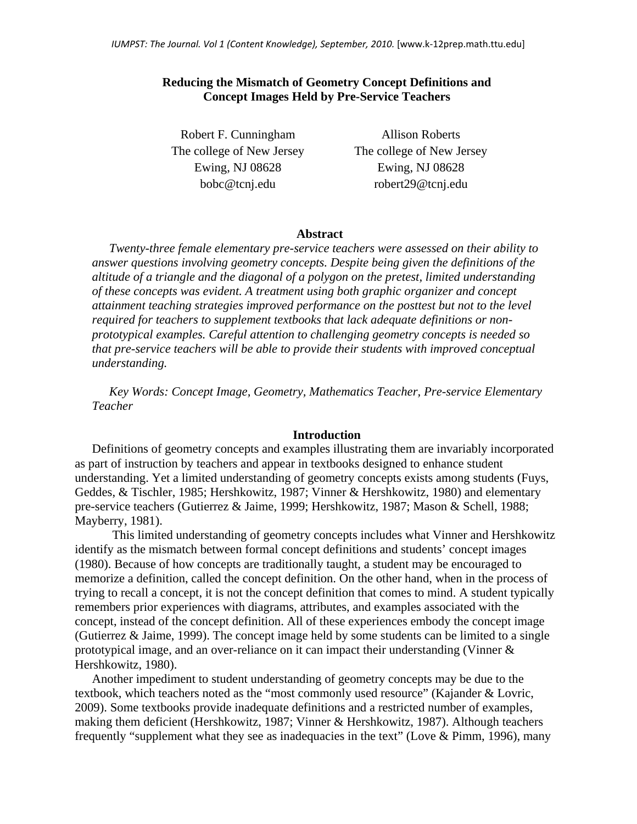## **Reducing the Mismatch of Geometry Concept Definitions and Concept Images Held by Pre-Service Teachers**

Robert F. Cunningham The college of New Jersey Ewing, NJ 08628 bobc@tcnj.edu

Allison Roberts The college of New Jersey Ewing, NJ 08628 robert29@tcnj.edu

#### **Abstract**

*Twenty-three female elementary pre-service teachers were assessed on their ability to answer questions involving geometry concepts. Despite being given the definitions of the altitude of a triangle and the diagonal of a polygon on the pretest, limited understanding of these concepts was evident. A treatment using both graphic organizer and concept attainment teaching strategies improved performance on the posttest but not to the level required for teachers to supplement textbooks that lack adequate definitions or nonprototypical examples. Careful attention to challenging geometry concepts is needed so that pre-service teachers will be able to provide their students with improved conceptual understanding.* 

*Key Words: Concept Image, Geometry, Mathematics Teacher, Pre-service Elementary Teacher* 

### **Introduction**

Definitions of geometry concepts and examples illustrating them are invariably incorporated as part of instruction by teachers and appear in textbooks designed to enhance student understanding. Yet a limited understanding of geometry concepts exists among students (Fuys, Geddes, & Tischler, 1985; Hershkowitz, 1987; Vinner & Hershkowitz, 1980) and elementary pre-service teachers (Gutierrez & Jaime, 1999; Hershkowitz, 1987; Mason & Schell, 1988; Mayberry, 1981).

 This limited understanding of geometry concepts includes what Vinner and Hershkowitz identify as the mismatch between formal concept definitions and students' concept images (1980). Because of how concepts are traditionally taught, a student may be encouraged to memorize a definition, called the concept definition. On the other hand, when in the process of trying to recall a concept, it is not the concept definition that comes to mind. A student typically remembers prior experiences with diagrams, attributes, and examples associated with the concept, instead of the concept definition. All of these experiences embody the concept image (Gutierrez & Jaime, 1999). The concept image held by some students can be limited to a single prototypical image, and an over-reliance on it can impact their understanding (Vinner & Hershkowitz, 1980).

Another impediment to student understanding of geometry concepts may be due to the textbook, which teachers noted as the "most commonly used resource" (Kajander & Lovric, 2009). Some textbooks provide inadequate definitions and a restricted number of examples, making them deficient (Hershkowitz, 1987; Vinner & Hershkowitz, 1987). Although teachers frequently "supplement what they see as inadequacies in the text" (Love & Pimm, 1996), many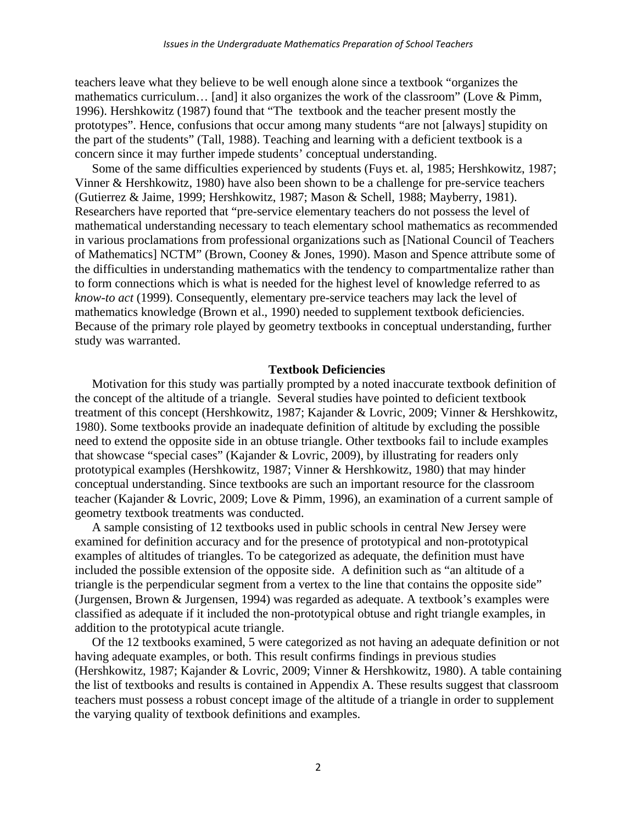teachers leave what they believe to be well enough alone since a textbook "organizes the mathematics curriculum… [and] it also organizes the work of the classroom" (Love & Pimm, 1996). Hershkowitz (1987) found that "The textbook and the teacher present mostly the prototypes". Hence, confusions that occur among many students "are not [always] stupidity on the part of the students" (Tall, 1988). Teaching and learning with a deficient textbook is a concern since it may further impede students' conceptual understanding.

Some of the same difficulties experienced by students (Fuys et. al, 1985; Hershkowitz, 1987; Vinner & Hershkowitz, 1980) have also been shown to be a challenge for pre-service teachers (Gutierrez & Jaime, 1999; Hershkowitz, 1987; Mason & Schell, 1988; Mayberry, 1981). Researchers have reported that "pre-service elementary teachers do not possess the level of mathematical understanding necessary to teach elementary school mathematics as recommended in various proclamations from professional organizations such as [National Council of Teachers of Mathematics] NCTM" (Brown, Cooney & Jones, 1990). Mason and Spence attribute some of the difficulties in understanding mathematics with the tendency to compartmentalize rather than to form connections which is what is needed for the highest level of knowledge referred to as *know-to act* (1999). Consequently, elementary pre-service teachers may lack the level of mathematics knowledge (Brown et al., 1990) needed to supplement textbook deficiencies. Because of the primary role played by geometry textbooks in conceptual understanding, further study was warranted.

#### **Textbook Deficiencies**

Motivation for this study was partially prompted by a noted inaccurate textbook definition of the concept of the altitude of a triangle. Several studies have pointed to deficient textbook treatment of this concept (Hershkowitz, 1987; Kajander & Lovric, 2009; Vinner & Hershkowitz, 1980). Some textbooks provide an inadequate definition of altitude by excluding the possible need to extend the opposite side in an obtuse triangle. Other textbooks fail to include examples that showcase "special cases" (Kajander & Lovric, 2009), by illustrating for readers only prototypical examples (Hershkowitz, 1987; Vinner & Hershkowitz, 1980) that may hinder conceptual understanding. Since textbooks are such an important resource for the classroom teacher (Kajander & Lovric, 2009; Love & Pimm, 1996), an examination of a current sample of geometry textbook treatments was conducted.

A sample consisting of 12 textbooks used in public schools in central New Jersey were examined for definition accuracy and for the presence of prototypical and non-prototypical examples of altitudes of triangles. To be categorized as adequate, the definition must have included the possible extension of the opposite side. A definition such as "an altitude of a triangle is the perpendicular segment from a vertex to the line that contains the opposite side" (Jurgensen, Brown & Jurgensen, 1994) was regarded as adequate. A textbook's examples were classified as adequate if it included the non-prototypical obtuse and right triangle examples, in addition to the prototypical acute triangle.

Of the 12 textbooks examined, 5 were categorized as not having an adequate definition or not having adequate examples, or both. This result confirms findings in previous studies (Hershkowitz, 1987; Kajander & Lovric, 2009; Vinner & Hershkowitz, 1980). A table containing the list of textbooks and results is contained in Appendix A. These results suggest that classroom teachers must possess a robust concept image of the altitude of a triangle in order to supplement the varying quality of textbook definitions and examples.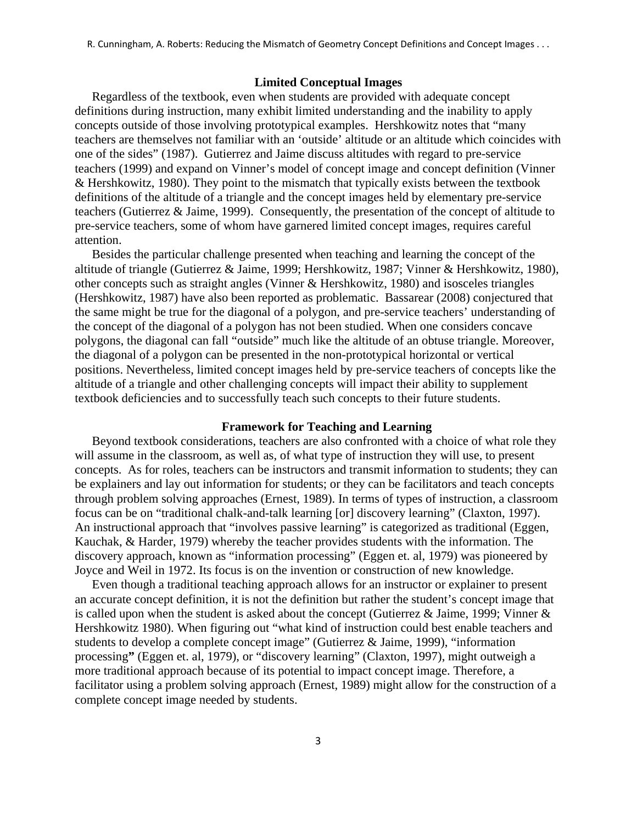R. Cunningham, A. Roberts: Reducing the Mismatch of Geometry Concept Definitions and Concept Images . . .

#### **Limited Conceptual Images**

Regardless of the textbook, even when students are provided with adequate concept definitions during instruction, many exhibit limited understanding and the inability to apply concepts outside of those involving prototypical examples. Hershkowitz notes that "many teachers are themselves not familiar with an 'outside' altitude or an altitude which coincides with one of the sides" (1987). Gutierrez and Jaime discuss altitudes with regard to pre-service teachers (1999) and expand on Vinner's model of concept image and concept definition (Vinner & Hershkowitz, 1980). They point to the mismatch that typically exists between the textbook definitions of the altitude of a triangle and the concept images held by elementary pre-service teachers (Gutierrez & Jaime, 1999). Consequently, the presentation of the concept of altitude to pre-service teachers, some of whom have garnered limited concept images, requires careful attention.

Besides the particular challenge presented when teaching and learning the concept of the altitude of triangle (Gutierrez & Jaime, 1999; Hershkowitz, 1987; Vinner & Hershkowitz, 1980), other concepts such as straight angles (Vinner & Hershkowitz, 1980) and isosceles triangles (Hershkowitz, 1987) have also been reported as problematic. Bassarear (2008) conjectured that the same might be true for the diagonal of a polygon, and pre-service teachers' understanding of the concept of the diagonal of a polygon has not been studied. When one considers concave polygons, the diagonal can fall "outside" much like the altitude of an obtuse triangle. Moreover, the diagonal of a polygon can be presented in the non-prototypical horizontal or vertical positions. Nevertheless, limited concept images held by pre-service teachers of concepts like the altitude of a triangle and other challenging concepts will impact their ability to supplement textbook deficiencies and to successfully teach such concepts to their future students.

#### **Framework for Teaching and Learning**

Beyond textbook considerations, teachers are also confronted with a choice of what role they will assume in the classroom, as well as, of what type of instruction they will use, to present concepts. As for roles, teachers can be instructors and transmit information to students; they can be explainers and lay out information for students; or they can be facilitators and teach concepts through problem solving approaches (Ernest, 1989). In terms of types of instruction, a classroom focus can be on "traditional chalk-and-talk learning [or] discovery learning" (Claxton, 1997). An instructional approach that "involves passive learning" is categorized as traditional (Eggen, Kauchak, & Harder, 1979) whereby the teacher provides students with the information. The discovery approach, known as "information processing" (Eggen et. al, 1979) was pioneered by Joyce and Weil in 1972. Its focus is on the invention or construction of new knowledge.

Even though a traditional teaching approach allows for an instructor or explainer to present an accurate concept definition, it is not the definition but rather the student's concept image that is called upon when the student is asked about the concept (Gutierrez & Jaime, 1999; Vinner & Hershkowitz 1980). When figuring out "what kind of instruction could best enable teachers and students to develop a complete concept image" (Gutierrez & Jaime, 1999), "information processing**"** (Eggen et. al, 1979), or "discovery learning" (Claxton, 1997), might outweigh a more traditional approach because of its potential to impact concept image. Therefore, a facilitator using a problem solving approach (Ernest, 1989) might allow for the construction of a complete concept image needed by students.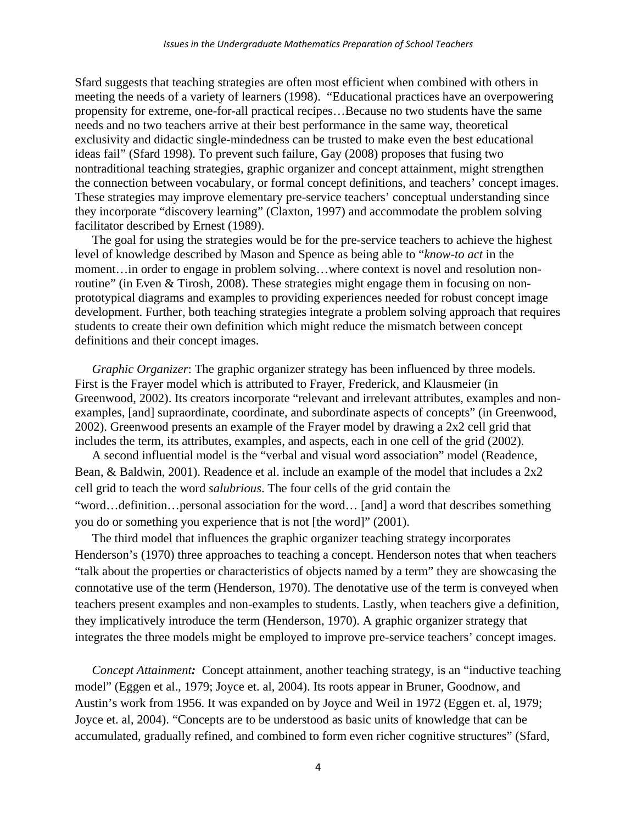Sfard suggests that teaching strategies are often most efficient when combined with others in meeting the needs of a variety of learners (1998). "Educational practices have an overpowering propensity for extreme, one-for-all practical recipes…Because no two students have the same needs and no two teachers arrive at their best performance in the same way, theoretical exclusivity and didactic single-mindedness can be trusted to make even the best educational ideas fail" (Sfard 1998). To prevent such failure, Gay (2008) proposes that fusing two nontraditional teaching strategies, graphic organizer and concept attainment, might strengthen the connection between vocabulary, or formal concept definitions, and teachers' concept images. These strategies may improve elementary pre-service teachers' conceptual understanding since they incorporate "discovery learning" (Claxton, 1997) and accommodate the problem solving facilitator described by Ernest (1989).

The goal for using the strategies would be for the pre-service teachers to achieve the highest level of knowledge described by Mason and Spence as being able to "*know-to act* in the moment…in order to engage in problem solving…where context is novel and resolution nonroutine" (in Even & Tirosh, 2008). These strategies might engage them in focusing on nonprototypical diagrams and examples to providing experiences needed for robust concept image development. Further, both teaching strategies integrate a problem solving approach that requires students to create their own definition which might reduce the mismatch between concept definitions and their concept images.

*Graphic Organizer*: The graphic organizer strategy has been influenced by three models. First is the Frayer model which is attributed to Frayer, Frederick, and Klausmeier (in Greenwood, 2002). Its creators incorporate "relevant and irrelevant attributes, examples and nonexamples, [and] supraordinate, coordinate, and subordinate aspects of concepts" (in Greenwood, 2002). Greenwood presents an example of the Frayer model by drawing a 2x2 cell grid that includes the term, its attributes, examples, and aspects, each in one cell of the grid (2002).

A second influential model is the "verbal and visual word association" model (Readence, Bean, & Baldwin, 2001). Readence et al. include an example of the model that includes a 2x2 cell grid to teach the word *salubrious*. The four cells of the grid contain the "word…definition…personal association for the word… [and] a word that describes something you do or something you experience that is not [the word]" (2001).

The third model that influences the graphic organizer teaching strategy incorporates Henderson's (1970) three approaches to teaching a concept. Henderson notes that when teachers "talk about the properties or characteristics of objects named by a term" they are showcasing the connotative use of the term (Henderson, 1970). The denotative use of the term is conveyed when teachers present examples and non-examples to students. Lastly, when teachers give a definition, they implicatively introduce the term (Henderson, 1970). A graphic organizer strategy that integrates the three models might be employed to improve pre-service teachers' concept images.

*Concept Attainment:* Concept attainment, another teaching strategy, is an "inductive teaching model" (Eggen et al., 1979; Joyce et. al, 2004). Its roots appear in Bruner, Goodnow, and Austin's work from 1956. It was expanded on by Joyce and Weil in 1972 (Eggen et. al, 1979; Joyce et. al, 2004). "Concepts are to be understood as basic units of knowledge that can be accumulated, gradually refined, and combined to form even richer cognitive structures" (Sfard,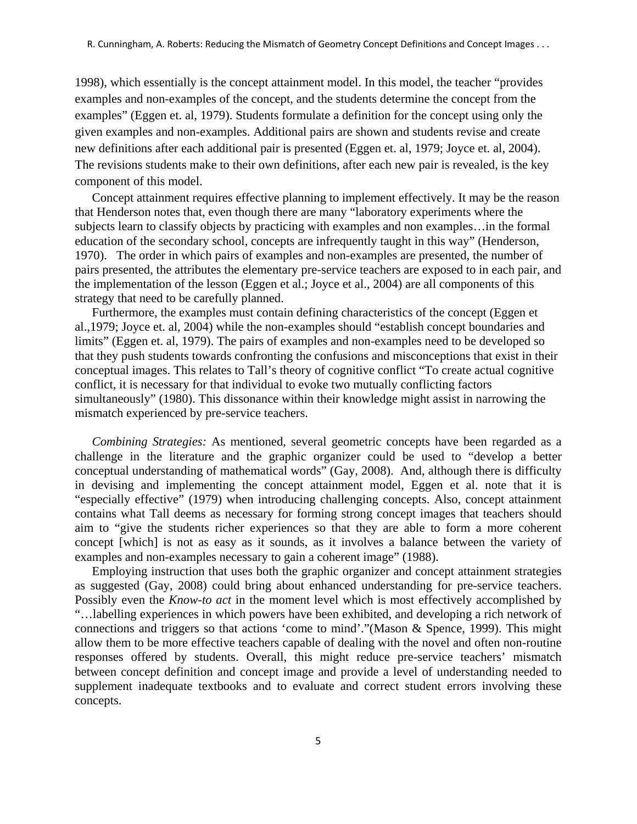1998), which essentially is the concept attainment model. In this model, the teacher "provides examples and non-examples of the concept, and the students determine the concept from the examples" (Eggen et. al, 1979). Students formulate a definition for the concept using only the given examples and non-examples. Additional pairs are shown and students revise and create new definitions after each additional pair is presented (Eggen et. al, 1979; Joyce et. al, 2004). The revisions students make to their own definitions, after each new pair is revealed, is the key component of this model.

Concept attainment requires effective planning to implement effectively. It may be the reason that Henderson notes that, even though there are many "laboratory experiments where the subjects learn to classify objects by practicing with examples and non examples…in the formal education of the secondary school, concepts are infrequently taught in this way" (Henderson, 1970). The order in which pairs of examples and non-examples are presented, the number of pairs presented, the attributes the elementary pre-service teachers are exposed to in each pair, and the implementation of the lesson (Eggen et al.; Joyce et al., 2004) are all components of this strategy that need to be carefully planned.

Furthermore, the examples must contain defining characteristics of the concept (Eggen et al.,1979; Joyce et. al, 2004) while the non-examples should "establish concept boundaries and limits" (Eggen et. al, 1979). The pairs of examples and non-examples need to be developed so that they push students towards confronting the confusions and misconceptions that exist in their conceptual images. This relates to Tall's theory of cognitive conflict "To create actual cognitive conflict, it is necessary for that individual to evoke two mutually conflicting factors simultaneously" (1980). This dissonance within their knowledge might assist in narrowing the mismatch experienced by pre-service teachers.

*Combining Strategies:* As mentioned, several geometric concepts have been regarded as a challenge in the literature and the graphic organizer could be used to "develop a better conceptual understanding of mathematical words" (Gay, 2008). And, although there is difficulty in devising and implementing the concept attainment model, Eggen et al. note that it is "especially effective" (1979) when introducing challenging concepts. Also, concept attainment contains what Tall deems as necessary for forming strong concept images that teachers should aim to "give the students richer experiences so that they are able to form a more coherent concept [which] is not as easy as it sounds, as it involves a balance between the variety of examples and non-examples necessary to gain a coherent image" (1988).

Employing instruction that uses both the graphic organizer and concept attainment strategies as suggested (Gay, 2008) could bring about enhanced understanding for pre-service teachers. Possibly even the *Know-to act* in the moment level which is most effectively accomplished by "…labelling experiences in which powers have been exhibited, and developing a rich network of connections and triggers so that actions 'come to mind'."(Mason & Spence, 1999). This might allow them to be more effective teachers capable of dealing with the novel and often non-routine responses offered by students. Overall, this might reduce pre-service teachers' mismatch between concept definition and concept image and provide a level of understanding needed to supplement inadequate textbooks and to evaluate and correct student errors involving these concepts.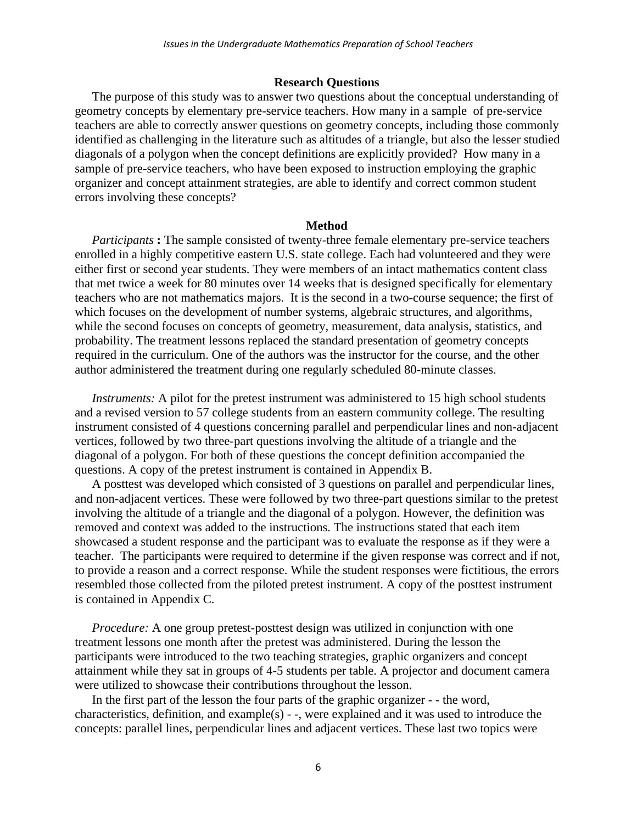#### **Research Questions**

The purpose of this study was to answer two questions about the conceptual understanding of geometry concepts by elementary pre-service teachers. How many in a sample of pre-service teachers are able to correctly answer questions on geometry concepts, including those commonly identified as challenging in the literature such as altitudes of a triangle, but also the lesser studied diagonals of a polygon when the concept definitions are explicitly provided? How many in a sample of pre-service teachers, who have been exposed to instruction employing the graphic organizer and concept attainment strategies, are able to identify and correct common student errors involving these concepts?

#### **Method**

*Participants* : The sample consisted of twenty-three female elementary pre-service teachers enrolled in a highly competitive eastern U.S. state college. Each had volunteered and they were either first or second year students. They were members of an intact mathematics content class that met twice a week for 80 minutes over 14 weeks that is designed specifically for elementary teachers who are not mathematics majors. It is the second in a two-course sequence; the first of which focuses on the development of number systems, algebraic structures, and algorithms, while the second focuses on concepts of geometry, measurement, data analysis, statistics, and probability. The treatment lessons replaced the standard presentation of geometry concepts required in the curriculum. One of the authors was the instructor for the course, and the other author administered the treatment during one regularly scheduled 80-minute classes.

*Instruments:* A pilot for the pretest instrument was administered to 15 high school students and a revised version to 57 college students from an eastern community college. The resulting instrument consisted of 4 questions concerning parallel and perpendicular lines and non-adjacent vertices, followed by two three-part questions involving the altitude of a triangle and the diagonal of a polygon. For both of these questions the concept definition accompanied the questions. A copy of the pretest instrument is contained in Appendix B.

A posttest was developed which consisted of 3 questions on parallel and perpendicular lines, and non-adjacent vertices. These were followed by two three-part questions similar to the pretest involving the altitude of a triangle and the diagonal of a polygon. However, the definition was removed and context was added to the instructions. The instructions stated that each item showcased a student response and the participant was to evaluate the response as if they were a teacher. The participants were required to determine if the given response was correct and if not, to provide a reason and a correct response. While the student responses were fictitious, the errors resembled those collected from the piloted pretest instrument. A copy of the posttest instrument is contained in Appendix C.

*Procedure:* A one group pretest-posttest design was utilized in conjunction with one treatment lessons one month after the pretest was administered. During the lesson the participants were introduced to the two teaching strategies, graphic organizers and concept attainment while they sat in groups of 4-5 students per table. A projector and document camera were utilized to showcase their contributions throughout the lesson.

In the first part of the lesson the four parts of the graphic organizer - - the word, characteristics, definition, and example(s) - -, were explained and it was used to introduce the concepts: parallel lines, perpendicular lines and adjacent vertices. These last two topics were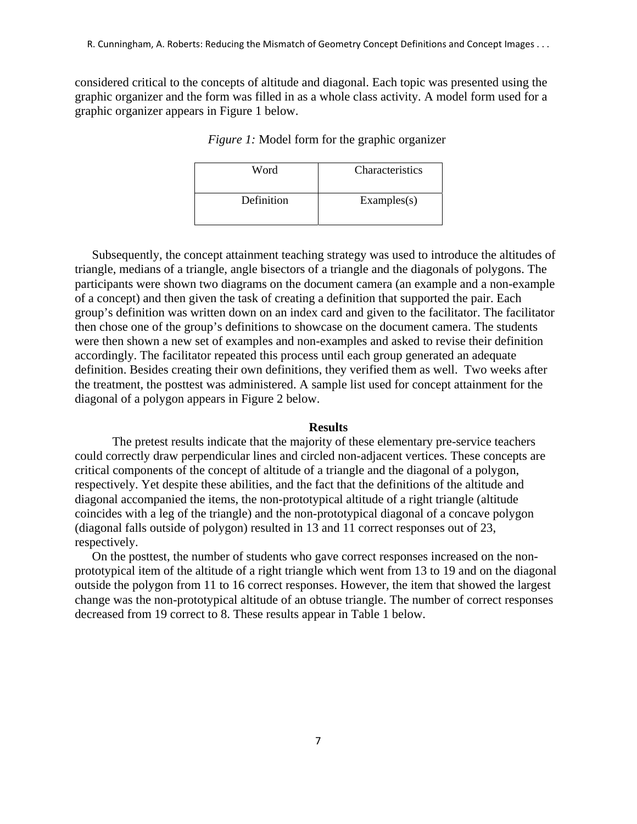considered critical to the concepts of altitude and diagonal. Each topic was presented using the graphic organizer and the form was filled in as a whole class activity. A model form used for a graphic organizer appears in Figure 1 below.

| Word       | Characteristics |
|------------|-----------------|
| Definition | Examples(s)     |

*Figure 1:* Model form for the graphic organizer

Subsequently, the concept attainment teaching strategy was used to introduce the altitudes of triangle, medians of a triangle, angle bisectors of a triangle and the diagonals of polygons. The participants were shown two diagrams on the document camera (an example and a non-example of a concept) and then given the task of creating a definition that supported the pair. Each group's definition was written down on an index card and given to the facilitator. The facilitator then chose one of the group's definitions to showcase on the document camera. The students were then shown a new set of examples and non-examples and asked to revise their definition accordingly. The facilitator repeated this process until each group generated an adequate definition. Besides creating their own definitions, they verified them as well. Two weeks after the treatment, the posttest was administered. A sample list used for concept attainment for the diagonal of a polygon appears in Figure 2 below.

#### **Results**

 The pretest results indicate that the majority of these elementary pre-service teachers could correctly draw perpendicular lines and circled non-adjacent vertices. These concepts are critical components of the concept of altitude of a triangle and the diagonal of a polygon, respectively. Yet despite these abilities, and the fact that the definitions of the altitude and diagonal accompanied the items, the non-prototypical altitude of a right triangle (altitude coincides with a leg of the triangle) and the non-prototypical diagonal of a concave polygon (diagonal falls outside of polygon) resulted in 13 and 11 correct responses out of 23, respectively.

On the posttest, the number of students who gave correct responses increased on the nonprototypical item of the altitude of a right triangle which went from 13 to 19 and on the diagonal outside the polygon from 11 to 16 correct responses. However, the item that showed the largest change was the non-prototypical altitude of an obtuse triangle. The number of correct responses decreased from 19 correct to 8. These results appear in Table 1 below.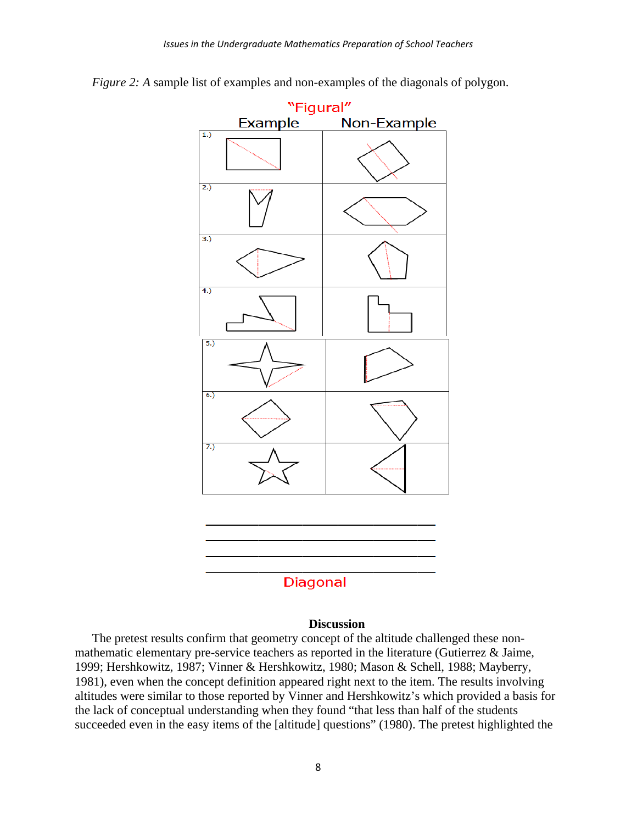

*Figure 2: A* sample list of examples and non-examples of the diagonals of polygon.

#### **Discussion**

The pretest results confirm that geometry concept of the altitude challenged these nonmathematic elementary pre-service teachers as reported in the literature (Gutierrez & Jaime, 1999; Hershkowitz, 1987; Vinner & Hershkowitz, 1980; Mason & Schell, 1988; Mayberry, 1981), even when the concept definition appeared right next to the item. The results involving altitudes were similar to those reported by Vinner and Hershkowitz's which provided a basis for the lack of conceptual understanding when they found "that less than half of the students succeeded even in the easy items of the [altitude] questions" (1980). The pretest highlighted the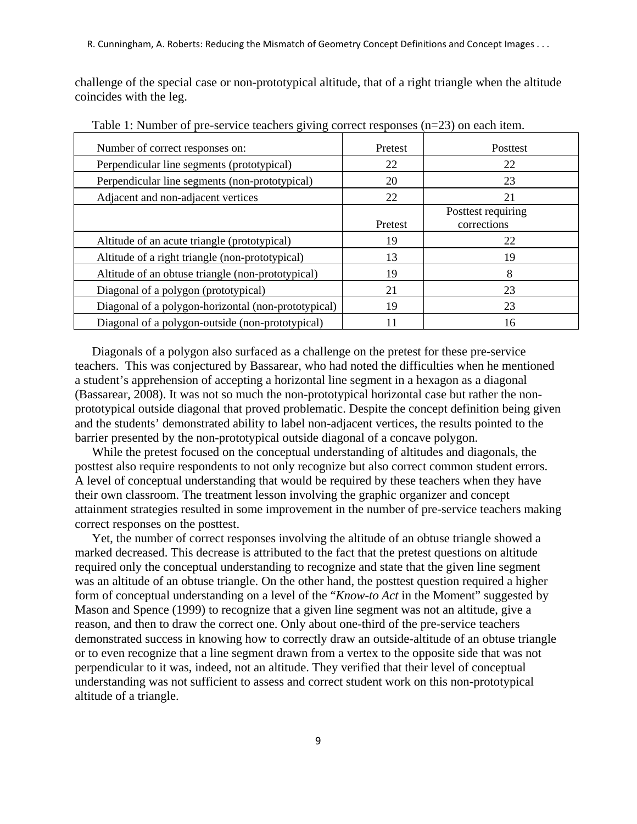challenge of the special case or non-prototypical altitude, that of a right triangle when the altitude coincides with the leg.

| Number of correct responses on:                     | Pretest | <b>Posttest</b>                   |
|-----------------------------------------------------|---------|-----------------------------------|
| Perpendicular line segments (prototypical)          | 22      | 22                                |
| Perpendicular line segments (non-prototypical)      | 20      | 23                                |
| Adjacent and non-adjacent vertices                  | 22      | 21                                |
|                                                     | Pretest | Posttest requiring<br>corrections |
| Altitude of an acute triangle (prototypical)        | 19      | 22                                |
| Altitude of a right triangle (non-prototypical)     | 13      | 19                                |
| Altitude of an obtuse triangle (non-prototypical)   | 19      | 8                                 |
| Diagonal of a polygon (prototypical)                | 21      | 23                                |
| Diagonal of a polygon-horizontal (non-prototypical) | 19      | 23                                |
| Diagonal of a polygon-outside (non-prototypical)    |         | 16                                |

Table 1: Number of pre-service teachers giving correct responses (n=23) on each item.

Diagonals of a polygon also surfaced as a challenge on the pretest for these pre-service teachers. This was conjectured by Bassarear, who had noted the difficulties when he mentioned a student's apprehension of accepting a horizontal line segment in a hexagon as a diagonal (Bassarear, 2008). It was not so much the non-prototypical horizontal case but rather the nonprototypical outside diagonal that proved problematic. Despite the concept definition being given and the students' demonstrated ability to label non-adjacent vertices, the results pointed to the barrier presented by the non-prototypical outside diagonal of a concave polygon.

While the pretest focused on the conceptual understanding of altitudes and diagonals, the posttest also require respondents to not only recognize but also correct common student errors. A level of conceptual understanding that would be required by these teachers when they have their own classroom. The treatment lesson involving the graphic organizer and concept attainment strategies resulted in some improvement in the number of pre-service teachers making correct responses on the posttest.

Yet, the number of correct responses involving the altitude of an obtuse triangle showed a marked decreased. This decrease is attributed to the fact that the pretest questions on altitude required only the conceptual understanding to recognize and state that the given line segment was an altitude of an obtuse triangle. On the other hand, the posttest question required a higher form of conceptual understanding on a level of the "*Know-to Act* in the Moment" suggested by Mason and Spence (1999) to recognize that a given line segment was not an altitude, give a reason, and then to draw the correct one. Only about one-third of the pre-service teachers demonstrated success in knowing how to correctly draw an outside-altitude of an obtuse triangle or to even recognize that a line segment drawn from a vertex to the opposite side that was not perpendicular to it was, indeed, not an altitude. They verified that their level of conceptual understanding was not sufficient to assess and correct student work on this non-prototypical altitude of a triangle.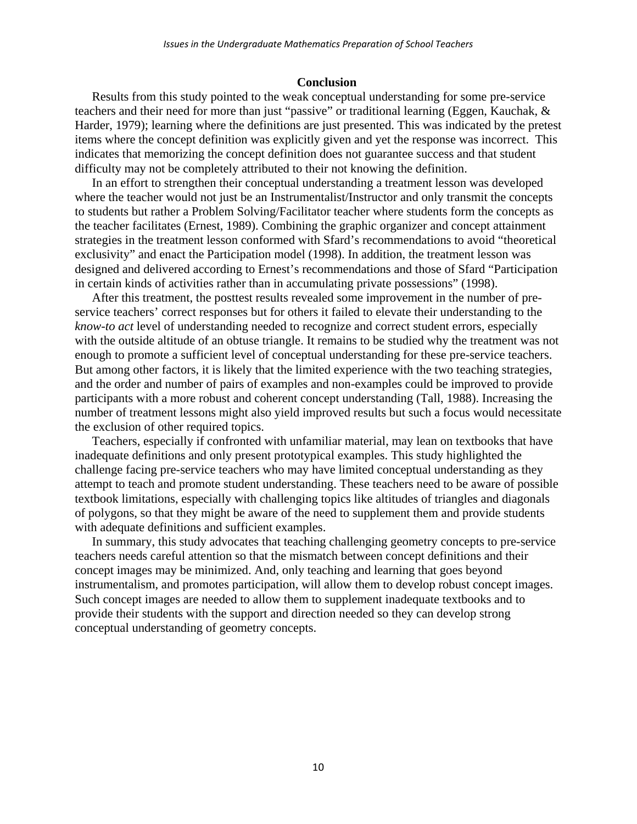#### **Conclusion**

Results from this study pointed to the weak conceptual understanding for some pre-service teachers and their need for more than just "passive" or traditional learning (Eggen, Kauchak, & Harder, 1979); learning where the definitions are just presented. This was indicated by the pretest items where the concept definition was explicitly given and yet the response was incorrect. This indicates that memorizing the concept definition does not guarantee success and that student difficulty may not be completely attributed to their not knowing the definition.

In an effort to strengthen their conceptual understanding a treatment lesson was developed where the teacher would not just be an Instrumentalist/Instructor and only transmit the concepts to students but rather a Problem Solving/Facilitator teacher where students form the concepts as the teacher facilitates (Ernest, 1989). Combining the graphic organizer and concept attainment strategies in the treatment lesson conformed with Sfard's recommendations to avoid "theoretical exclusivity" and enact the Participation model (1998). In addition, the treatment lesson was designed and delivered according to Ernest's recommendations and those of Sfard "Participation in certain kinds of activities rather than in accumulating private possessions" (1998).

After this treatment, the posttest results revealed some improvement in the number of preservice teachers' correct responses but for others it failed to elevate their understanding to the *know-to act* level of understanding needed to recognize and correct student errors, especially with the outside altitude of an obtuse triangle. It remains to be studied why the treatment was not enough to promote a sufficient level of conceptual understanding for these pre-service teachers. But among other factors, it is likely that the limited experience with the two teaching strategies, and the order and number of pairs of examples and non-examples could be improved to provide participants with a more robust and coherent concept understanding (Tall, 1988). Increasing the number of treatment lessons might also yield improved results but such a focus would necessitate the exclusion of other required topics.

Teachers, especially if confronted with unfamiliar material, may lean on textbooks that have inadequate definitions and only present prototypical examples. This study highlighted the challenge facing pre-service teachers who may have limited conceptual understanding as they attempt to teach and promote student understanding. These teachers need to be aware of possible textbook limitations, especially with challenging topics like altitudes of triangles and diagonals of polygons, so that they might be aware of the need to supplement them and provide students with adequate definitions and sufficient examples.

In summary, this study advocates that teaching challenging geometry concepts to pre-service teachers needs careful attention so that the mismatch between concept definitions and their concept images may be minimized. And, only teaching and learning that goes beyond instrumentalism, and promotes participation, will allow them to develop robust concept images. Such concept images are needed to allow them to supplement inadequate textbooks and to provide their students with the support and direction needed so they can develop strong conceptual understanding of geometry concepts.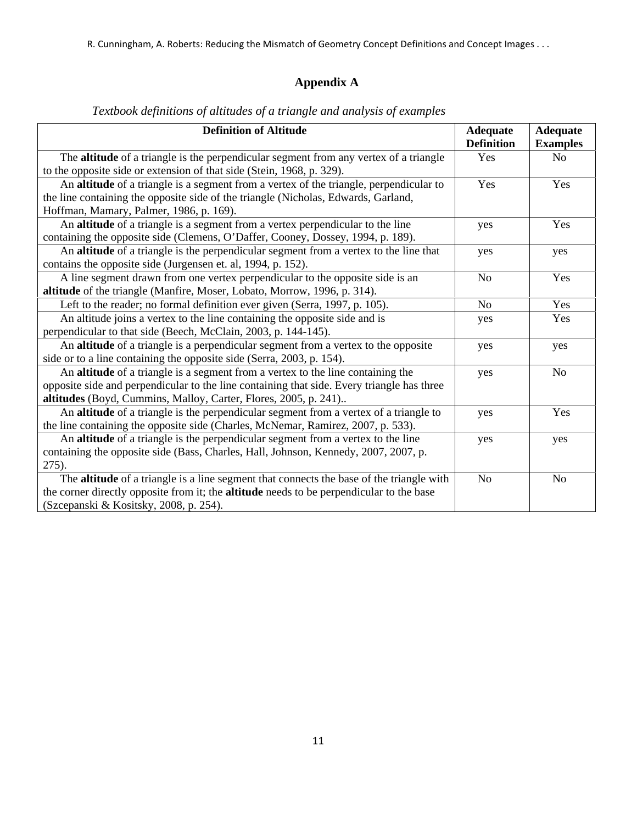# **Appendix A**

| <b>Definition of Altitude</b>                                                                | <b>Adequate</b><br><b>Definition</b> | <b>Adequate</b><br><b>Examples</b> |
|----------------------------------------------------------------------------------------------|--------------------------------------|------------------------------------|
| The <b>altitude</b> of a triangle is the perpendicular segment from any vertex of a triangle | Yes                                  | N <sub>o</sub>                     |
| to the opposite side or extension of that side (Stein, 1968, p. 329).                        |                                      |                                    |
| An altitude of a triangle is a segment from a vertex of the triangle, perpendicular to       | Yes                                  | Yes                                |
| the line containing the opposite side of the triangle (Nicholas, Edwards, Garland,           |                                      |                                    |
| Hoffman, Mamary, Palmer, 1986, p. 169).                                                      |                                      |                                    |
| An altitude of a triangle is a segment from a vertex perpendicular to the line               | yes                                  | Yes                                |
| containing the opposite side (Clemens, O'Daffer, Cooney, Dossey, 1994, p. 189).              |                                      |                                    |
| An altitude of a triangle is the perpendicular segment from a vertex to the line that        | yes                                  | yes                                |
| contains the opposite side (Jurgensen et. al, 1994, p. 152).                                 |                                      |                                    |
| A line segment drawn from one vertex perpendicular to the opposite side is an                | N <sub>o</sub>                       | Yes                                |
| altitude of the triangle (Manfire, Moser, Lobato, Morrow, 1996, p. 314).                     |                                      |                                    |
| Left to the reader; no formal definition ever given (Serra, 1997, p. 105).                   | N <sub>o</sub>                       | Yes                                |
| An altitude joins a vertex to the line containing the opposite side and is                   | yes                                  | Yes                                |
| perpendicular to that side (Beech, McClain, 2003, p. 144-145).                               |                                      |                                    |
| An altitude of a triangle is a perpendicular segment from a vertex to the opposite           | yes                                  | yes                                |
| side or to a line containing the opposite side (Serra, 2003, p. 154).                        |                                      |                                    |
| An altitude of a triangle is a segment from a vertex to the line containing the              | yes                                  | N <sub>o</sub>                     |
| opposite side and perpendicular to the line containing that side. Every triangle has three   |                                      |                                    |
| altitudes (Boyd, Cummins, Malloy, Carter, Flores, 2005, p. 241)                              |                                      |                                    |
| An altitude of a triangle is the perpendicular segment from a vertex of a triangle to        | yes                                  | Yes                                |
| the line containing the opposite side (Charles, McNemar, Ramirez, 2007, p. 533).             |                                      |                                    |
| An altitude of a triangle is the perpendicular segment from a vertex to the line             | yes                                  | yes                                |
| containing the opposite side (Bass, Charles, Hall, Johnson, Kennedy, 2007, 2007, p.          |                                      |                                    |
| 275).                                                                                        |                                      |                                    |
| The altitude of a triangle is a line segment that connects the base of the triangle with     | N <sub>o</sub>                       | N <sub>o</sub>                     |
| the corner directly opposite from it; the altitude needs to be perpendicular to the base     |                                      |                                    |
| (Szcepanski & Kositsky, 2008, p. 254).                                                       |                                      |                                    |

## *Textbook definitions of altitudes of a triangle and analysis of examples*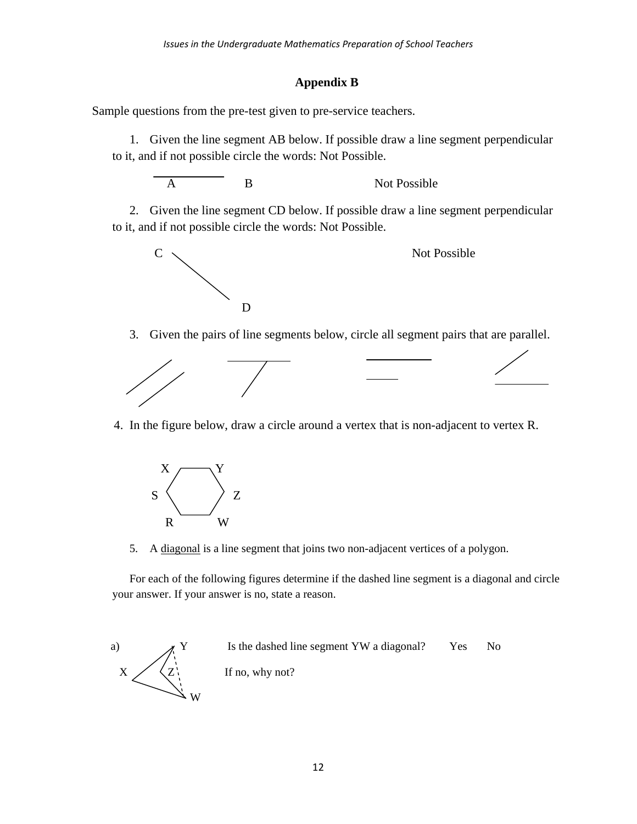## **Appendix B**

Sample questions from the pre-test given to pre-service teachers.

1. Given the line segment AB below. If possible draw a line segment perpendicular to it, and if not possible circle the words: Not Possible.

$$
\overline{A}
$$

## B Not Possible

2. Given the line segment CD below. If possible draw a line segment perpendicular to it, and if not possible circle the words: Not Possible.



3. Given the pairs of line segments below, circle all segment pairs that are parallel.



4. In the figure below, draw a circle around a vertex that is non-adjacent to vertex R.



5. A diagonal is a line segment that joins two non-adjacent vertices of a polygon.

For each of the following figures determine if the dashed line segment is a diagonal and circle your answer. If your answer is no, state a reason.

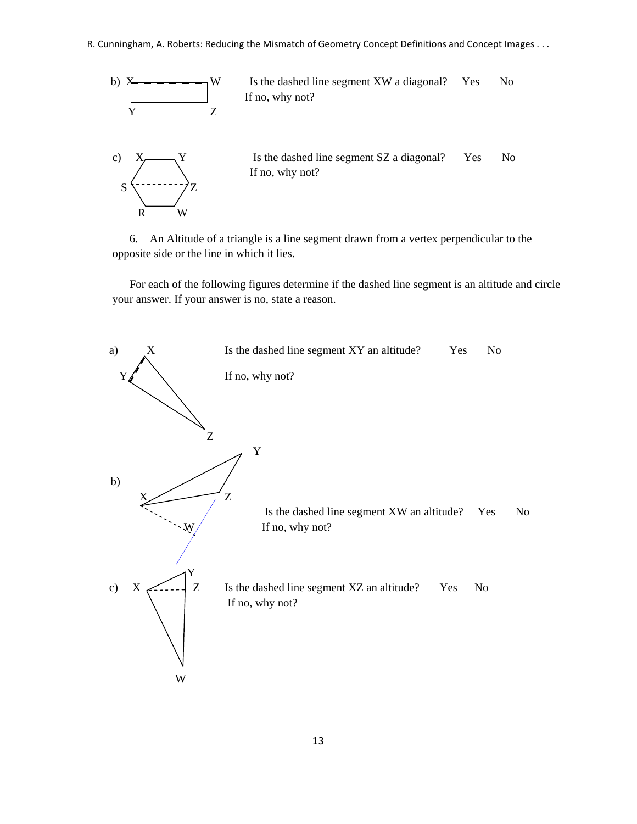

6. An Altitude of a triangle is a line segment drawn from a vertex perpendicular to the opposite side or the line in which it lies.

For each of the following figures determine if the dashed line segment is an altitude and circle your answer. If your answer is no, state a reason.

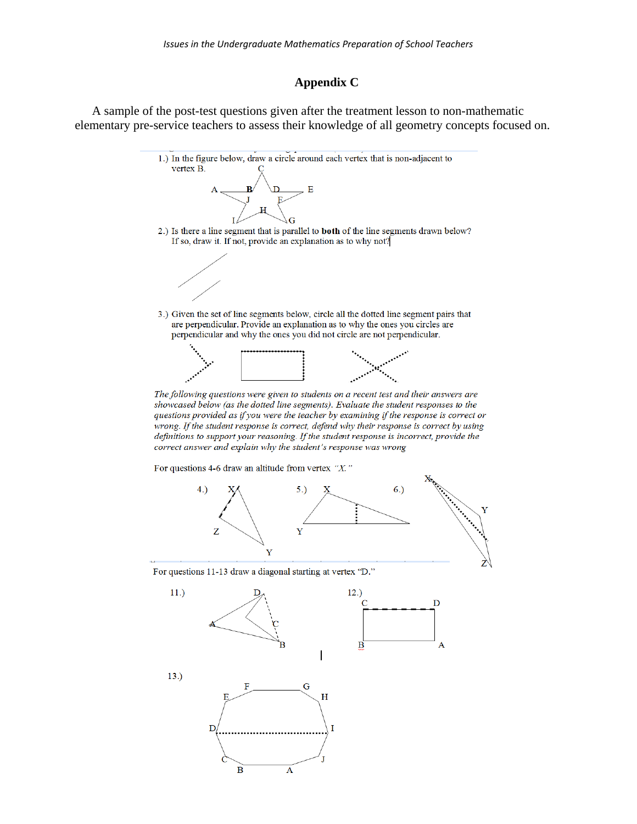## **Appendix C**

A sample of the post-test questions given after the treatment lesson to non-mathematic elementary pre-service teachers to assess their knowledge of all geometry concepts focused on.





For questions 11-13 draw a diagonal starting at vertex "D."

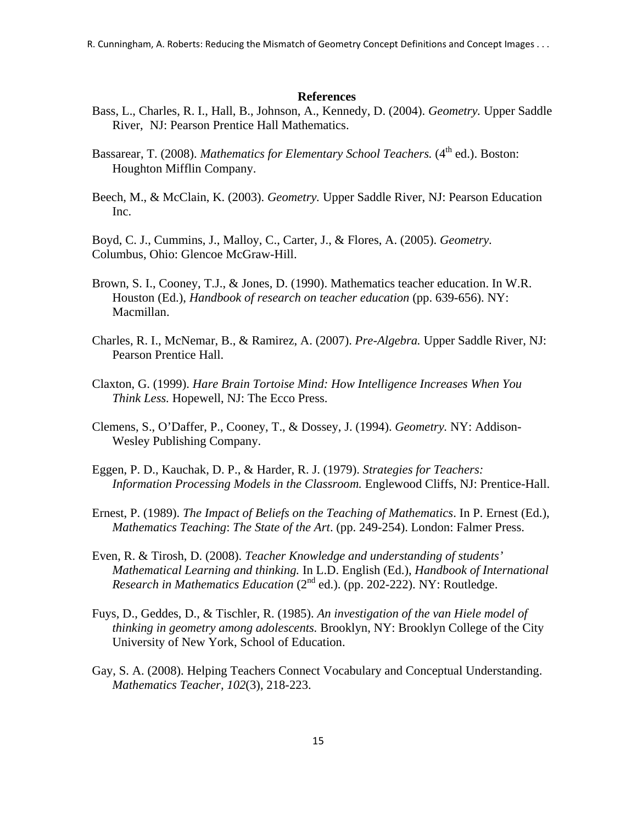R. Cunningham, A. Roberts: Reducing the Mismatch of Geometry Concept Definitions and Concept Images . . .

#### **References**

- Bass, L., Charles, R. I., Hall, B., Johnson, A., Kennedy, D. (2004). *Geometry.* Upper Saddle River, NJ: Pearson Prentice Hall Mathematics.
- Bassarear, T. (2008). *Mathematics for Elementary School Teachers*. (4<sup>th</sup> ed.). Boston: Houghton Mifflin Company.
- Beech, M., & McClain, K. (2003). *Geometry.* Upper Saddle River, NJ: Pearson Education Inc.

Boyd, C. J., Cummins, J., Malloy, C., Carter, J., & Flores, A. (2005). *Geometry.*  Columbus, Ohio: Glencoe McGraw-Hill.

- Brown, S. I., Cooney, T.J., & Jones, D. (1990). Mathematics teacher education. In W.R. Houston (Ed.), *Handbook of research on teacher education* (pp. 639-656). NY: Macmillan.
- Charles, R. I., McNemar, B., & Ramirez, A. (2007). *Pre-Algebra.* Upper Saddle River, NJ: Pearson Prentice Hall.
- Claxton, G. (1999). *Hare Brain Tortoise Mind: How Intelligence Increases When You Think Less.* Hopewell, NJ: The Ecco Press.
- Clemens, S., O'Daffer, P., Cooney, T., & Dossey, J. (1994). *Geometry.* NY: Addison- Wesley Publishing Company.
- Eggen, P. D., Kauchak, D. P., & Harder, R. J. (1979). *Strategies for Teachers: Information Processing Models in the Classroom.* Englewood Cliffs, NJ: Prentice-Hall.
- Ernest, P. (1989). *The Impact of Beliefs on the Teaching of Mathematics*. In P. Ernest (Ed.),  *Mathematics Teaching*: *The State of the Art*. (pp. 249-254). London: Falmer Press.
- Even, R. & Tirosh, D. (2008). *Teacher Knowledge and understanding of students' Mathematical Learning and thinking.* In L.D. English (Ed.), *Handbook of International Research in Mathematics Education* (2nd ed.). (pp. 202-222). NY: Routledge.
- Fuys, D., Geddes, D., & Tischler, R. (1985). *An investigation of the van Hiele model of thinking in geometry among adolescents.* Brooklyn, NY: Brooklyn College of the City University of New York, School of Education.
- Gay, S. A. (2008). Helping Teachers Connect Vocabulary and Conceptual Understanding.  *Mathematics Teacher, 102*(3), 218-223.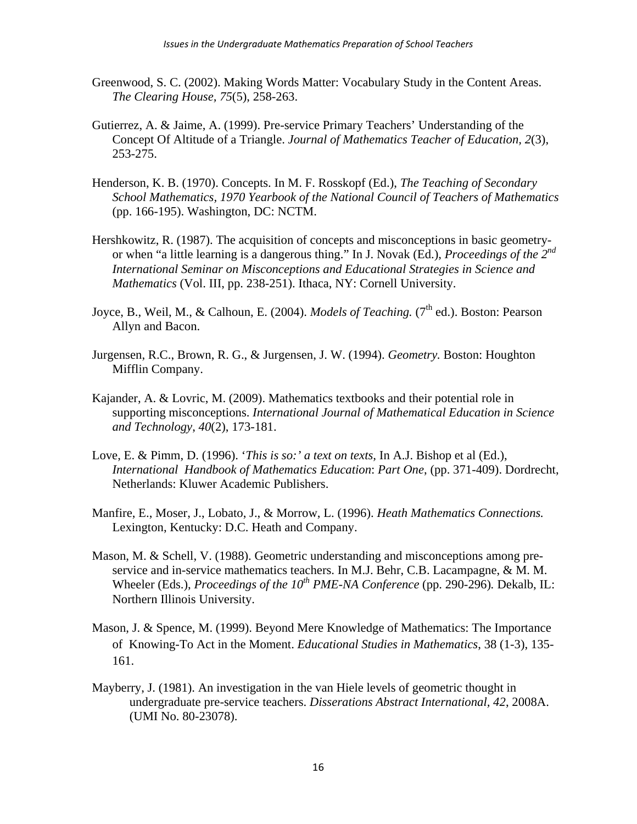- Greenwood, S. C. (2002). Making Words Matter: Vocabulary Study in the Content Areas. *The Clearing House, 75*(5), 258-263.
- Gutierrez, A. & Jaime, A. (1999). Pre-service Primary Teachers' Understanding of the Concept Of Altitude of a Triangle. *Journal of Mathematics Teacher of Education, 2*(3), 253-275.
- Henderson, K. B. (1970). Concepts. In M. F. Rosskopf (Ed.), *The Teaching of Secondary School Mathematics, 1970 Yearbook of the National Council of Teachers of Mathematics* (pp. 166-195). Washington, DC: NCTM.
- Hershkowitz, R. (1987). The acquisition of concepts and misconceptions in basic geometry or when "a little learning is a dangerous thing." In J. Novak (Ed.), *Proceedings of the 2nd International Seminar on Misconceptions and Educational Strategies in Science and Mathematics* (Vol. III, pp. 238-251). Ithaca, NY: Cornell University.
- Joyce, B., Weil, M., & Calhoun, E. (2004). *Models of Teaching.* (7<sup>th</sup> ed.). Boston: Pearson Allyn and Bacon.
- Jurgensen, R.C., Brown, R. G., & Jurgensen, J. W. (1994). *Geometry.* Boston: Houghton Mifflin Company.
- Kajander, A. & Lovric, M. (2009). Mathematics textbooks and their potential role in supporting misconceptions. *International Journal of Mathematical Education in Science and Technology*, *40*(2), 173-181.
- Love, E. & Pimm, D. (1996). '*This is so:' a text on texts,* In A.J. Bishop et al (Ed.), *International Handbook of Mathematics Education*: *Part One*, (pp. 371-409). Dordrecht, Netherlands: Kluwer Academic Publishers.
- Manfire, E., Moser, J., Lobato, J., & Morrow, L. (1996). *Heath Mathematics Connections.*  Lexington, Kentucky: D.C. Heath and Company.
- Mason, M. & Schell, V. (1988). Geometric understanding and misconceptions among pre service and in-service mathematics teachers. In M.J. Behr, C.B. Lacampagne, & M. M. Wheeler (Eds.), *Proceedings of the 10<sup>th</sup> PME-NA Conference* (pp. 290-296). Dekalb, IL: Northern Illinois University.
- Mason, J. & Spence, M. (1999). Beyond Mere Knowledge of Mathematics: The Importance of Knowing-To Act in the Moment. *Educational Studies in Mathematics*, 38 (1-3), 135- 161.
- Mayberry, J. (1981). An investigation in the van Hiele levels of geometric thought in undergraduate pre-service teachers. *Disserations Abstract International, 42*, 2008A. (UMI No. 80-23078).